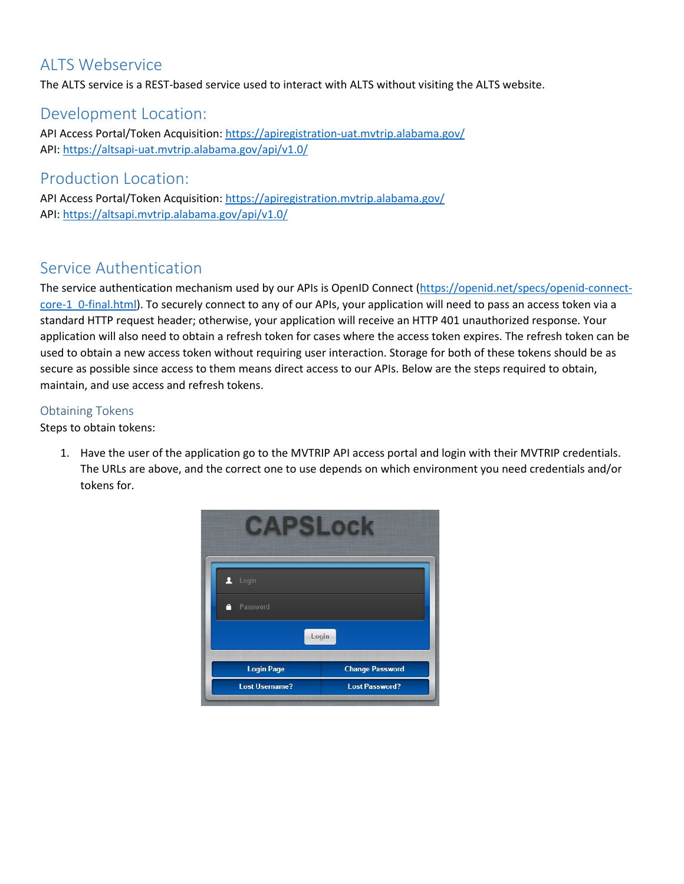## ALTS Webservice

The ALTS service is a REST-based service used to interact with ALTS without visiting the ALTS website.

## Development Location:

API Access Portal/Token Acquisition[: https://apiregistration-uat.mvtrip.alabama.gov/](https://apiregistration-uat.mvtrip.alabama.gov/) API: [https://altsapi-uat.mvtrip.alabama.gov/api/v1.0/](https://altsapi-uat.mvtrip.alabama.gov/api/v1.0)

## Production Location:

API Access Portal/Token Acquisition[: https://apiregistration.mvtrip.alabama.gov/](https://apiregistration.mvtrip.alabama.gov/) API: [https://altsapi.mvtrip.alabama.gov/api/v1.0/](https://altsapi.mvtrip.alabama.gov/api/v1.0)

# Service Authentication

The service authentication mechanism used by our APIs is OpenID Connect [\(https://openid.net/specs/openid-connect](https://openid.net/specs/openid-connect-core-1_0-final.html)[core-1\\_0-final.html\)](https://openid.net/specs/openid-connect-core-1_0-final.html). To securely connect to any of our APIs, your application will need to pass an access token via a standard HTTP request header; otherwise, your application will receive an HTTP 401 unauthorized response. Your application will also need to obtain a refresh token for cases where the access token expires. The refresh token can be used to obtain a new access token without requiring user interaction. Storage for both of these tokens should be as secure as possible since access to them means direct access to our APIs. Below are the steps required to obtain, maintain, and use access and refresh tokens.

### Obtaining Tokens

Steps to obtain tokens:

1. Have the user of the application go to the MVTRIP API access portal and login with their MVTRIP credentials. The URLs are above, and the correct one to use depends on which environment you need credentials and/or tokens for.

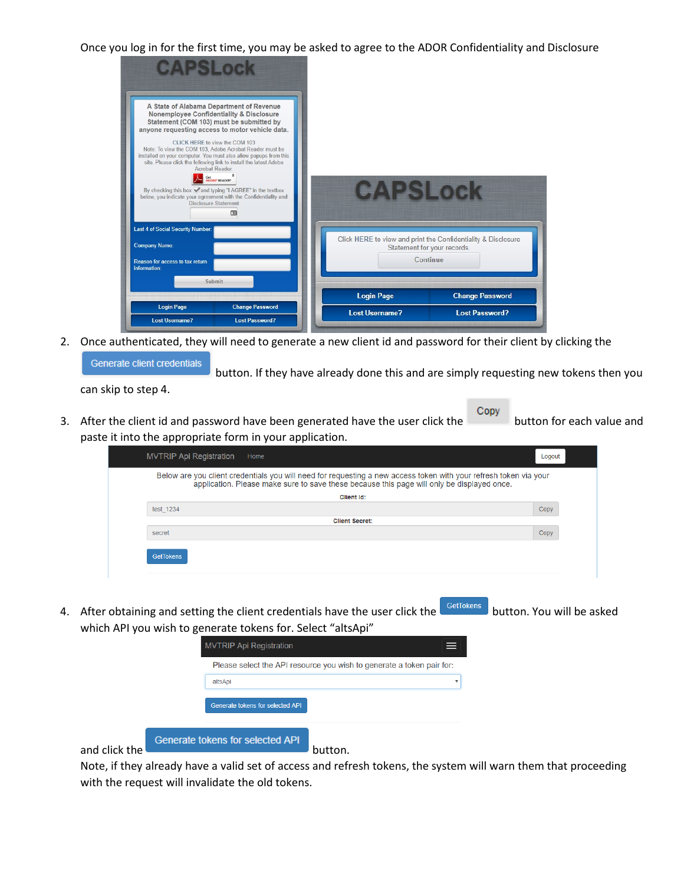Once you log in for the first time, you may be asked to agree to the ADOR Confidentiality and Disclosure



2. Once authenticated, they will need to generate a new client id and password for their client by clicking the Generate client credentials

button. If they have already done this and are simply requesting new tokens then you

3. After the client id and password have been generated have the user click the button for each value and paste it into the appropriate form in your application.

| <b>MVTRIP Api Registration</b><br>Home                                                                                                                                                                          | Logout |
|-----------------------------------------------------------------------------------------------------------------------------------------------------------------------------------------------------------------|--------|
| Below are you client credentials you will need for requesting a new access token with your refresh token via your<br>application. Please make sure to save these because this page will only be displayed once. |        |
| <b>Client Id:</b>                                                                                                                                                                                               |        |
| test 1234                                                                                                                                                                                                       | Copy   |
| <b>Client Secret:</b>                                                                                                                                                                                           |        |
| secret                                                                                                                                                                                                          | Copy   |
| <b>GetTokens</b>                                                                                                                                                                                                |        |

4. After obtaining and setting the client credentials have the user click the GetTokens button. You will be asked which API you wish to generate tokens for. Select "altsApi"



Note, if they already have a valid set of access and refresh tokens, the system will warn them that proceeding with the request will invalidate the old tokens.

can skip to step 4.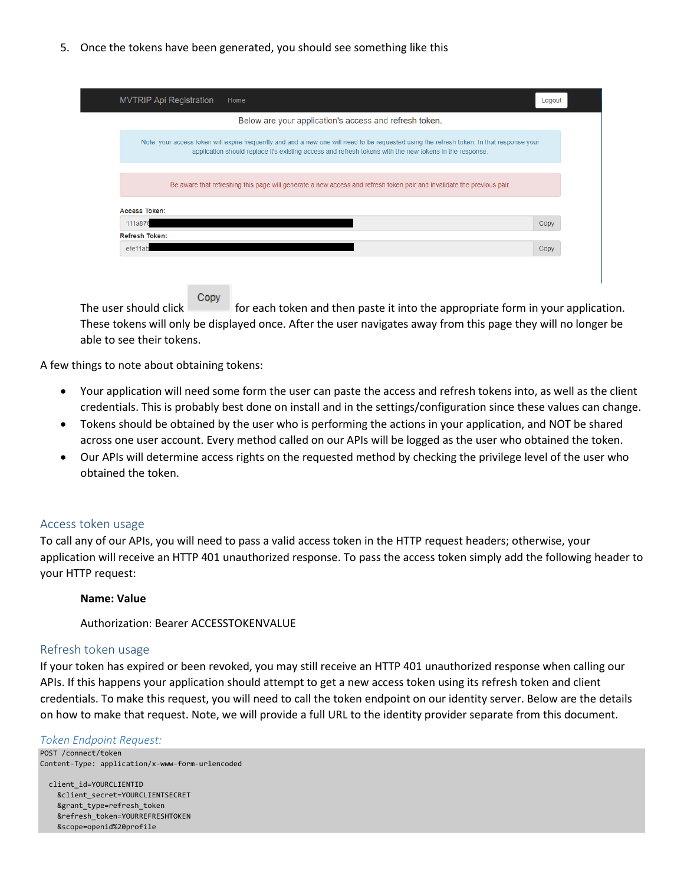5. Once the tokens have been generated, you should see something like this

| <b>MVTRIP Api Registration</b> | Home                                                                                                                                                                                                                                                 | Logout |
|--------------------------------|------------------------------------------------------------------------------------------------------------------------------------------------------------------------------------------------------------------------------------------------------|--------|
|                                | Below are your application's access and refresh token.                                                                                                                                                                                               |        |
|                                | Note, your access token will expire frequently and and a new one will need to be requested using the refresh token. In that response your<br>application should replace it's existing access and refresh tokens with the new tokens in the response. |        |
|                                | Be aware that refreshing this page will generate a new access and refresh token pair and invalidate the previous pair.                                                                                                                               |        |
| <b>Access Token:</b>           |                                                                                                                                                                                                                                                      |        |
| 111a878                        |                                                                                                                                                                                                                                                      | Copy   |
| <b>Refresh Token:</b>          |                                                                                                                                                                                                                                                      |        |
| efe11ab                        |                                                                                                                                                                                                                                                      | Copy   |

Copy The user should click for each token and then paste it into the appropriate form in your application. These tokens will only be displayed once. After the user navigates away from this page they will no longer be able to see their tokens.

A few things to note about obtaining tokens:

- Your application will need some form the user can paste the access and refresh tokens into, as well as the client credentials. This is probably best done on install and in the settings/configuration since these values can change.
- Tokens should be obtained by the user who is performing the actions in your application, and NOT be shared across one user account. Every method called on our APIs will be logged as the user who obtained the token.
- Our APIs will determine access rights on the requested method by checking the privilege level of the user who obtained the token.

### Access token usage

To call any of our APIs, you will need to pass a valid access token in the HTTP request headers; otherwise, your application will receive an HTTP 401 unauthorized response. To pass the access token simply add the following header to your HTTP request:

#### **Name: Value**

Authorization: Bearer ACCESSTOKENVALUE

#### Refresh token usage

If your token has expired or been revoked, you may still receive an HTTP 401 unauthorized response when calling our APIs. If this happens your application should attempt to get a new access token using its refresh token and client credentials. To make this request, you will need to call the token endpoint on our identity server. Below are the details on how to make that request. Note, we will provide a full URL to the identity provider separate from this document.

#### *Token Endpoint Request:*

POST /connect/token Content-Type: application/x-www-form-urlencoded

 client\_id=YOURCLIENTID &client\_secret=YOURCLIENTSECRET &grant\_type=refresh\_token &refresh\_token=YOURREFRESHTOKEN &scope=openid%20profile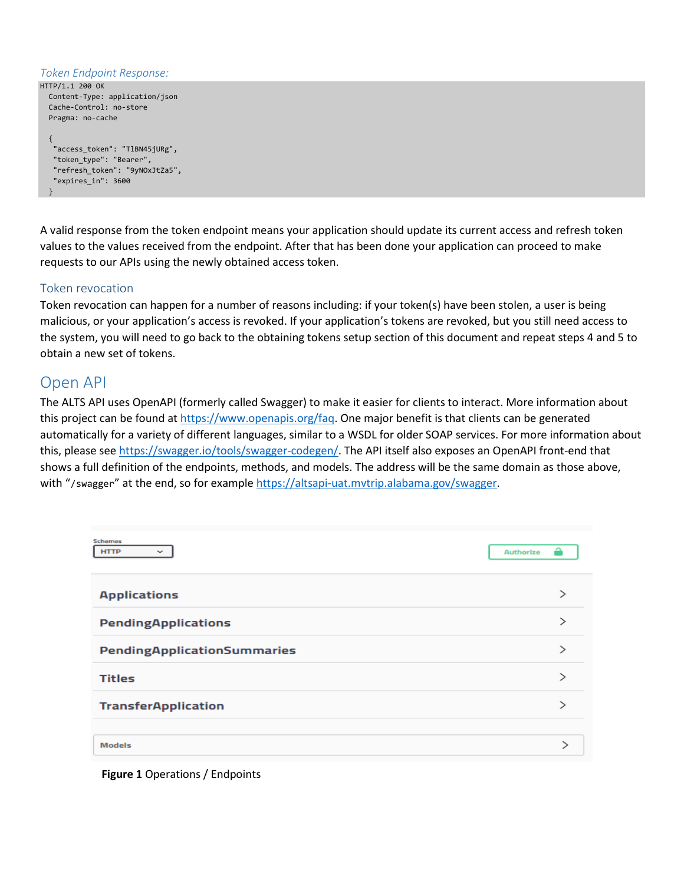#### *Token Endpoint Response:*

```
HTTP/1.1 200 OK
   Content-Type: application/json
   Cache-Control: no-store
   Pragma: no-cache
\{ "access_token": "TlBN45jURg",
    "token_type": "Bearer",
    "refresh_token": "9yNOxJtZa5",
    "expires_in": 3600
   }
```
A valid response from the token endpoint means your application should update its current access and refresh token values to the values received from the endpoint. After that has been done your application can proceed to make requests to our APIs using the newly obtained access token.

### Token revocation

Token revocation can happen for a number of reasons including: if your token(s) have been stolen, a user is being malicious, or your application's access is revoked. If your application's tokens are revoked, but you still need access to the system, you will need to go back to the obtaining tokens setup section of this document and repeat steps 4 and 5 to obtain a new set of tokens.

## Open API

The ALTS API uses OpenAPI (formerly called Swagger) to make it easier for clients to interact. More information about this project can be found at [https://www.openapis.org/faq.](https://www.openapis.org/faq) One major benefit is that clients can be generated automatically for a variety of different languages, similar to a WSDL for older SOAP services. For more information about this, please se[e https://swagger.io/tools/swagger-codegen/.](https://swagger.io/tools/swagger-codegen/) The API itself also exposes an OpenAPI front-end that shows a full definition of the endpoints, methods, and models. The address will be the same domain as those above, with "/swagger" at the end, so for exampl[e https://altsapi-uat.mvtrip.alabama.gov/swagger.](https://altsapi-uat.mvtrip.alabama.gov/swagger)

| <b>Schemes</b><br><b>HTTP</b><br>$\checkmark$ | ≏<br><b>Authorize</b> |
|-----------------------------------------------|-----------------------|
| <b>Applications</b>                           | >                     |
| <b>PendingApplications</b>                    |                       |
| PendingApplicationSummaries                   |                       |
| <b>Titles</b>                                 | ↘                     |
| <b>TransferApplication</b>                    | $\mathcal{E}$         |
| <b>Models</b>                                 |                       |

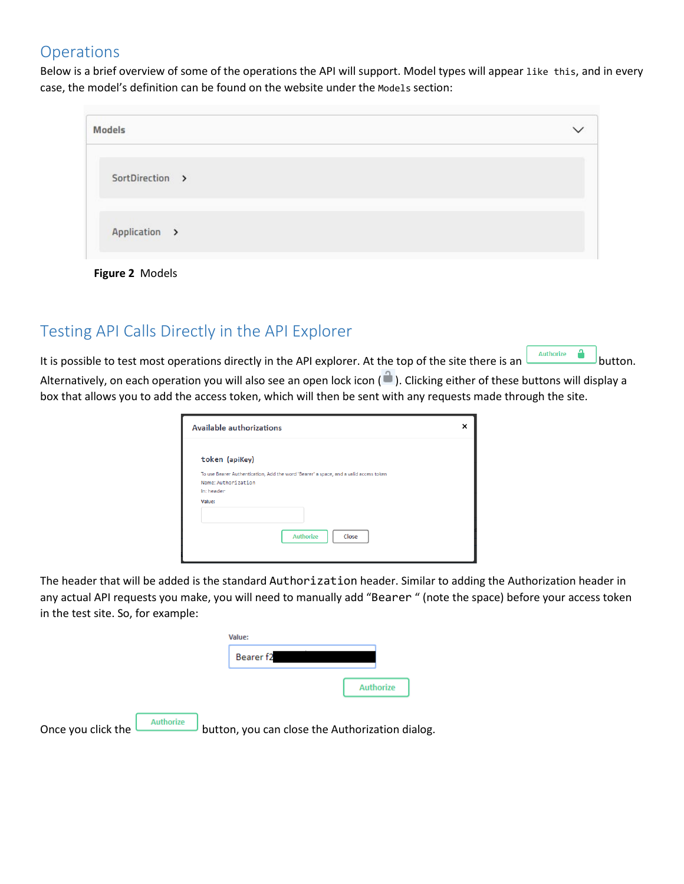## **Operations**

Below is a brief overview of some of the operations the API will support. Model types will appear like this, and in every case, the model's definition can be found on the website under the Models section:

| <b>Models</b>   |  |
|-----------------|--|
| SortDirection > |  |
| Application >   |  |

**Figure 2** Models

# Testing API Calls Directly in the API Explorer

It is possible to test most operations directly in the API explorer. At the top of the site there is an **produce the site there** is an **button**. Alternatively, on each operation you will also see an open lock icon ( $\Box$ ). Clicking either of these buttons will display a box that allows you to add the access token, which will then be sent with any requests made through the site.

| <b>Available authorizations</b>                                                       | × |
|---------------------------------------------------------------------------------------|---|
| token (apiKey)                                                                        |   |
| To use Bearer Authentication, Add the word 'Bearer' a space, and a valid access token |   |
| Name: Authorization<br>In: header                                                     |   |
| Value:                                                                                |   |
|                                                                                       |   |
| <b>Authorize</b><br>Close                                                             |   |
|                                                                                       |   |

The header that will be added is the standard Authorization header. Similar to adding the Authorization header in any actual API requests you make, you will need to manually add "Bearer " (note the space) before your access token in the test site. So, for example:

|                                        | Value:                                          |                  |
|----------------------------------------|-------------------------------------------------|------------------|
|                                        | Bearer f2                                       |                  |
|                                        |                                                 | <b>Authorize</b> |
| <b>Authorize</b><br>Once you click the | button, you can close the Authorization dialog. |                  |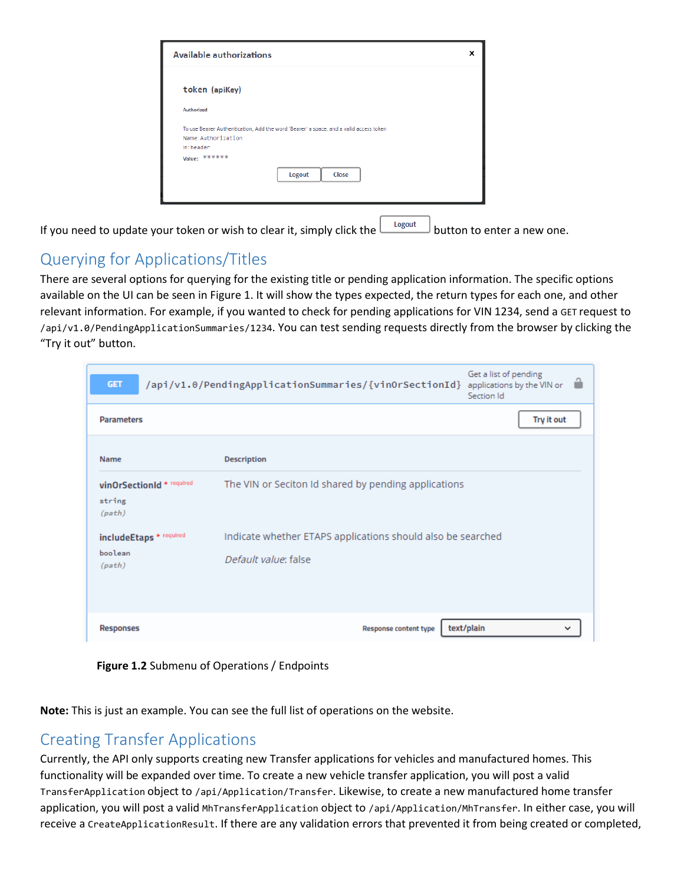| Available authorizations                           |                                                                                       | × |
|----------------------------------------------------|---------------------------------------------------------------------------------------|---|
| token (apiKey)                                     |                                                                                       |   |
| <b>Authorized</b>                                  |                                                                                       |   |
| Name: Authorization<br>In: header<br>Value: ****** | To use Bearer Authentication, Add the word 'Bearer' a space, and a valid access token |   |
|                                                    | Close<br>Logout                                                                       |   |

If you need to update your token or wish to clear it, simply click the  $\Box$  button to enter a new one.

# Querying for Applications/Titles

There are several options for querying for the existing title or pending application information. The specific options available on the UI can be seen in Figure 1. It will show the types expected, the return types for each one, and other relevant information. For example, if you wanted to check for pending applications for VIN 1234, send a GET request to /api/v1.0/PendingApplicationSummaries/1234. You can test sending requests directly from the browser by clicking the "Try it out" button.

| <b>GET</b>                                    | Get a list of pending<br>/api/v1.0/PendingApplicationSummaries/{vinOrSectionId}<br>applications by the VIN or<br>Section Id |
|-----------------------------------------------|-----------------------------------------------------------------------------------------------------------------------------|
| <b>Parameters</b>                             | Try it out                                                                                                                  |
| <b>Name</b>                                   | <b>Description</b>                                                                                                          |
| vinOrSectionId * required<br>string<br>(path) | The VIN or Seciton Id shared by pending applications                                                                        |
| includeEtaps * required                       | Indicate whether ETAPS applications should also be searched                                                                 |
| boolean<br>(path)                             | Default value: false                                                                                                        |
| <b>Responses</b>                              | text/plain<br><b>Response content type</b>                                                                                  |

**Figure 1.2** Submenu of Operations / Endpoints

**Note:** This is just an example. You can see the full list of operations on the website.

# Creating Transfer Applications

Currently, the API only supports creating new Transfer applications for vehicles and manufactured homes. This functionality will be expanded over time. To create a new vehicle transfer application, you will post a valid TransferApplication object to /api/Application/Transfer. Likewise, to create a new manufactured home transfer application, you will post a valid MhTransferApplication object to /api/Application/MhTransfer. In either case, you will receive a CreateApplicationResult. If there are any validation errors that prevented it from being created or completed,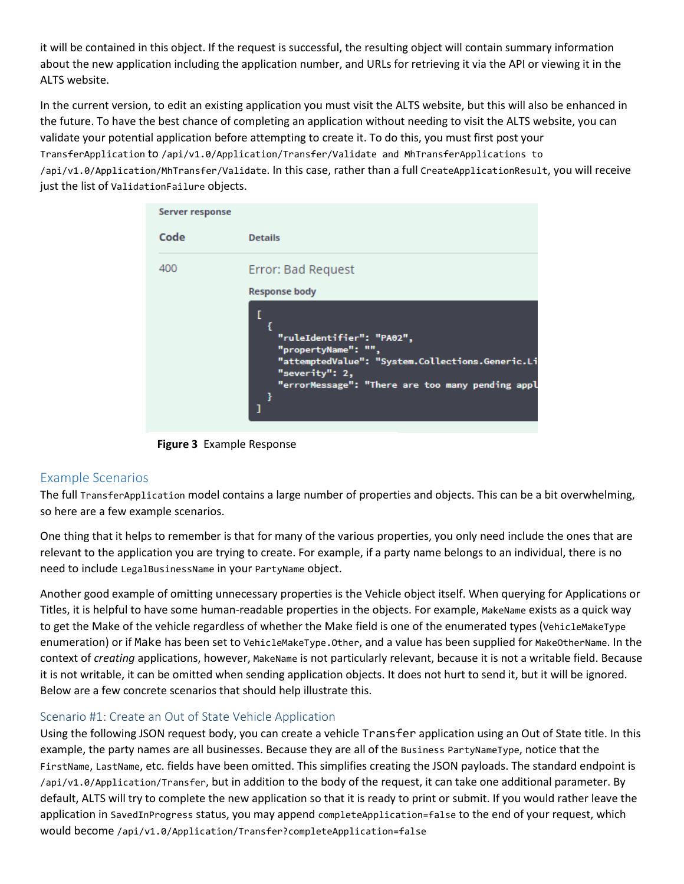it will be contained in this object. If the request is successful, the resulting object will contain summary information about the new application including the application number, and URLs for retrieving it via the API or viewing it in the ALTS website.

In the current version, to edit an existing application you must visit the ALTS website, but this will also be enhanced in the future. To have the best chance of completing an application without needing to visit the ALTS website, you can validate your potential application before attempting to create it. To do this, you must first post your TransferApplication to /api/v1.0/Application/Transfer/Validate and MhTransferApplications to /api/v1.0/Application/MhTransfer/Validate. In this case, rather than a full CreateApplicationResult, you will receive just the list of ValidationFailure objects.



**Figure 3** Example Response

### Example Scenarios

The full TransferApplication model contains a large number of properties and objects. This can be a bit overwhelming, so here are a few example scenarios.

One thing that it helps to remember is that for many of the various properties, you only need include the ones that are relevant to the application you are trying to create. For example, if a party name belongs to an individual, there is no need to include LegalBusinessName in your PartyName object.

Another good example of omitting unnecessary properties is the Vehicle object itself. When querying for Applications or Titles, it is helpful to have some human-readable properties in the objects. For example, MakeName exists as a quick way to get the Make of the vehicle regardless of whether the Make field is one of the enumerated types (VehicleMakeType enumeration) or if Make has been set to VehicleMakeType.Other, and a value has been supplied for MakeOtherName. In the context of *creating* applications, however, MakeName is not particularly relevant, because it is not a writable field. Because it is not writable, it can be omitted when sending application objects. It does not hurt to send it, but it will be ignored. Below are a few concrete scenarios that should help illustrate this.

### Scenario #1: Create an Out of State Vehicle Application

Using the following JSON request body, you can create a vehicle Transfer application using an Out of State title. In this example, the party names are all businesses. Because they are all of the Business PartyNameType, notice that the FirstName, LastName, etc. fields have been omitted. This simplifies creating the JSON payloads. The standard endpoint is /api/v1.0/Application/Transfer, but in addition to the body of the request, it can take one additional parameter. By default, ALTS will try to complete the new application so that it is ready to print or submit. If you would rather leave the application in SavedInProgress status, you may append completeApplication=false to the end of your request, which would become /api/v1.0/Application/Transfer?completeApplication=false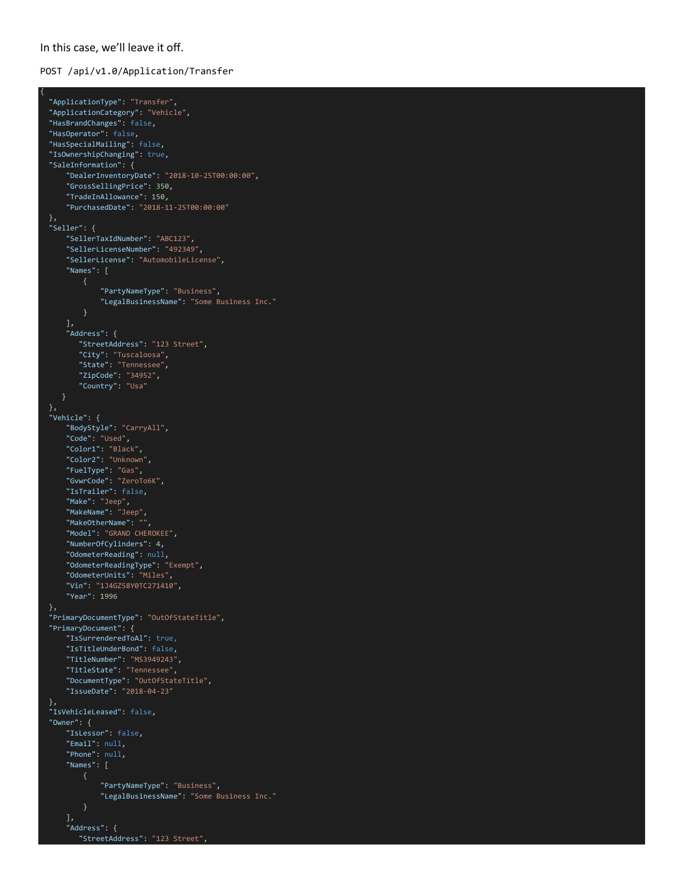#### In this case, we'll leave it off.

{

#### POST /api/v1.0/Application/Transfer

```
 "ApplicationType": "Transfer",
  "ApplicationCategory": "Vehicle",
  "HasBrandChanges": false,
  "HasOperator": false,
  "HasSpecialMailing": false,
  "IsOwnershipChanging": true,
  "SaleInformation": {
      "DealerInventoryDate": "2018-10-25T00:00:00",
      "GrossSellingPrice": 350,
      "TradeInAllowance": 150,
      "PurchasedDate": "2018-11-25T00:00:00"
  },
  "Seller": {
      "SellerTaxIdNumber": "ABC123",
      "SellerLicenseNumber": "492349",
      "SellerLicense": "AutomobileLicense",
      "Names": [
               "PartyNameType": "Business",
              "LegalBusinessName": "Some Business Inc."
      ],
      "Address": {
         "StreetAddress": "123 Street",
 "City": "Tuscaloosa",
 "State": "Tennessee",
 "ZipCode": "34952",
 "Country": "Usa"
  },
  "Vehicle": {
      "BodyStyle": "CarryAll",
      "Code": "Used",
 "Color1": "Black",
 "Color2": "Unknown",
      "FuelType": "Gas",
      "GvwrCode": "ZeroTo6K",
      "IsTrailer": false,
 "Make": "Jeep",
 "MakeName": "Jeep",
      "MakeOtherName": "",
      "Model": "GRAND CHEROKEE",
      "NumberOfCylinders": 4,
      "OdometerReading": null,
      "OdometerReadingType": "Exempt",
      "OdometerUnits": "Miles",
 "Vin": "1J4GZ58Y0TC271410",
 "Year": 1996
  },
  "PrimaryDocumentType": "OutOfStateTitle",
  "PrimaryDocument": {
      "IsSurrenderedToAl": true,
      "IsTitleUnderBond": false,
      "TitleNumber": "MS3949243",
      "TitleState": "Tennessee",
      "DocumentType": "OutOfStateTitle",
      "IssueDate": "2018-04-23"
  },
  "IsVehicleLeased": false,
  "Owner": {
      "IsLessor": false,
      "Email": null,
      "Phone": null,
      "Names": [
               "PartyNameType": "Business",
               "LegalBusinessName": "Some Business Inc."
      ],
      "Address": {
         "StreetAddress": "123 Street",
```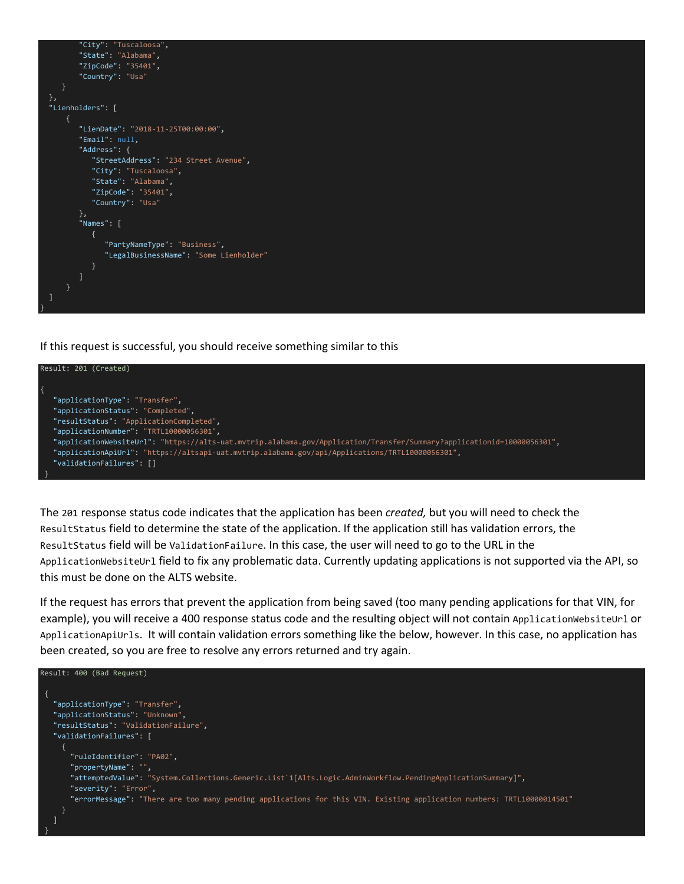

If this request is successful, you should receive something similar to this



The 201 response status code indicates that the application has been *created,* but you will need to check the ResultStatus field to determine the state of the application. If the application still has validation errors, the ResultStatus field will be ValidationFailure. In this case, the user will need to go to the URL in the ApplicationWebsiteUrl field to fix any problematic data. Currently updating applications is not supported via the API, so this must be done on the ALTS website.

If the request has errors that prevent the application from being saved (too many pending applications for that VIN, for example), you will receive a 400 response status code and the resulting object will not contain ApplicationWebsiteUrl or ApplicationApiUrls. It will contain validation errors something like the below, however. In this case, no application has been created, so you are free to resolve any errors returned and try again.

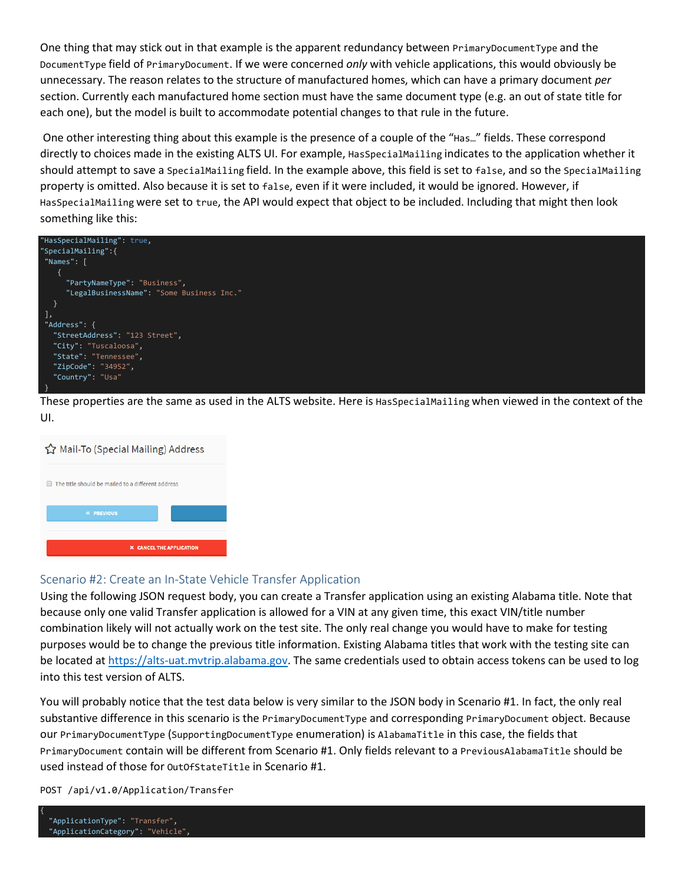One thing that may stick out in that example is the apparent redundancy between PrimaryDocumentType and the DocumentType field of PrimaryDocument. If we were concerned *only* with vehicle applications, this would obviously be unnecessary. The reason relates to the structure of manufactured homes, which can have a primary document *per* section. Currently each manufactured home section must have the same document type (e.g. an out of state title for each one), but the model is built to accommodate potential changes to that rule in the future.

One other interesting thing about this example is the presence of a couple of the "Has…" fields. These correspond directly to choices made in the existing ALTS UI. For example, HasSpecialMailing indicates to the application whether it should attempt to save a SpecialMailing field. In the example above, this field is set to false, and so the SpecialMailing property is omitted. Also because it is set to false, even if it were included, it would be ignored. However, if HasSpecialMailing were set to true, the API would expect that object to be included. Including that might then look something like this:



These properties are the same as used in the ALTS website. Here is HasSpecialMailing when viewed in the context of the UI.



### Scenario #2: Create an In-State Vehicle Transfer Application

Using the following JSON request body, you can create a Transfer application using an existing Alabama title. Note that because only one valid Transfer application is allowed for a VIN at any given time, this exact VIN/title number combination likely will not actually work on the test site. The only real change you would have to make for testing purposes would be to change the previous title information. Existing Alabama titles that work with the testing site can be located at [https://alts-uat.mvtrip.alabama.gov.](https://alts-uat.mvtrip.alabama.gov/) The same credentials used to obtain access tokens can be used to log into this test version of ALTS.

You will probably notice that the test data below is very similar to the JSON body in Scenario #1. In fact, the only real substantive difference in this scenario is the PrimaryDocumentType and corresponding PrimaryDocument object. Because our PrimaryDocumentType (SupportingDocumentType enumeration) is AlabamaTitle in this case, the fields that PrimaryDocument contain will be different from Scenario #1. Only fields relevant to a PreviousAlabamaTitle should be used instead of those for OutOfStateTitle in Scenario #1.

POST /api/v1.0/Application/Transfer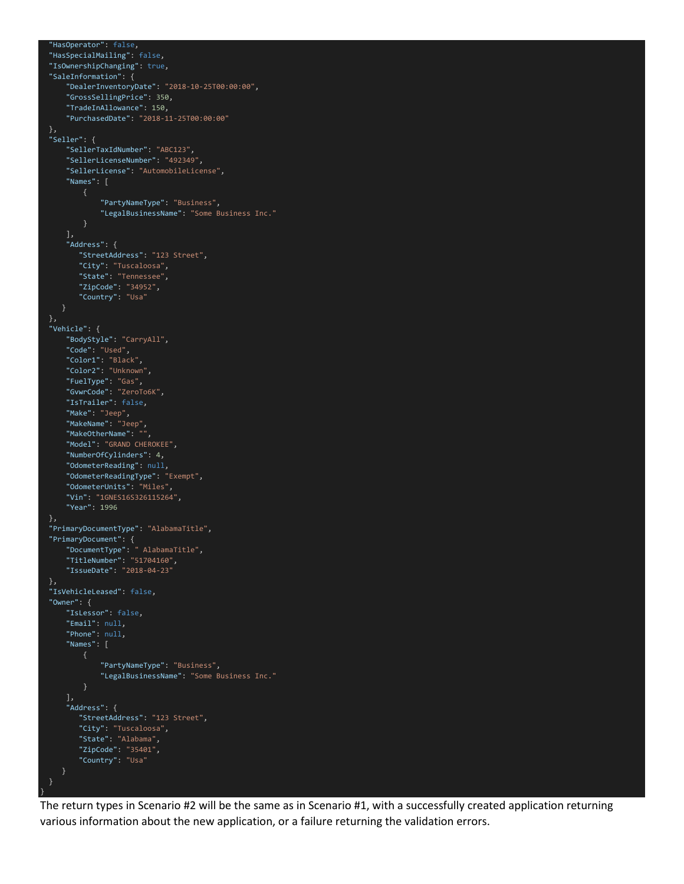```
 "HasOperator": false,
  "HasSpecialMailing": false,
  "IsOwnershipChanging": true,
  "SaleInformation": {
      "DealerInventoryDate": "2018-10-25T00:00:00",
      "GrossSellingPrice": 350,
      "TradeInAllowance": 150,
      "PurchasedDate": "2018-11-25T00:00:00"
  "Seller": {
      "SellerTaxIdNumber": "ABC123",
      "SellerLicenseNumber": "492349",
      "SellerLicense": "AutomobileLicense",
      "Names": [
              "PartyNameType": "Business",
               "LegalBusinessName": "Some Business Inc."
      ],
      "Address": {
         "StreetAddress": "123 Street",
         "City": "Tuscaloosa",
         "State": "Tennessee",
         "ZipCode": "34952",
         "Country": "Usa"
  },
  "Vehicle": {
      "BodyStyle": "CarryAll",
      "Code": "Used",
 "Color1": "Black",
 "Color2": "Unknown",
      "FuelType": "Gas",
      "GvwrCode": "ZeroTo6K",
      "IsTrailer": false,
      "Make": "Jeep",
      "MakeName": "Jeep",
      "MakeOtherName": "",
      "Model": "GRAND CHEROKEE",
      "NumberOfCylinders": 4,
      "OdometerReading": null,
      "OdometerReadingType": "Exempt",
      "OdometerUnits": "Miles",
      "Vin": "1GNES16S326115264",
      "Year": 1996
  },
  "PrimaryDocumentType": "AlabamaTitle",
  "PrimaryDocument": {
 "DocumentType": " AlabamaTitle",
 "TitleNumber": "51704160",
      "IssueDate": "2018-04-23"
 },
 "IsVehicleLeased": false,
  "Owner": {
      "IsLessor": false,
      "Email": null,
      "Phone": null,
      "Names": [
               "PartyNameType": "Business",
               "LegalBusinessName": "Some Business Inc."
      ],
      "Address": {
         "StreetAddress": "123 Street",
 "City": "Tuscaloosa",
 "State": "Alabama",
 "ZipCode": "35401",
 "Country": "Usa"
     }
```
}

The return types in Scenario #2 will be the same as in Scenario #1, with a successfully created application returning various information about the new application, or a failure returning the validation errors.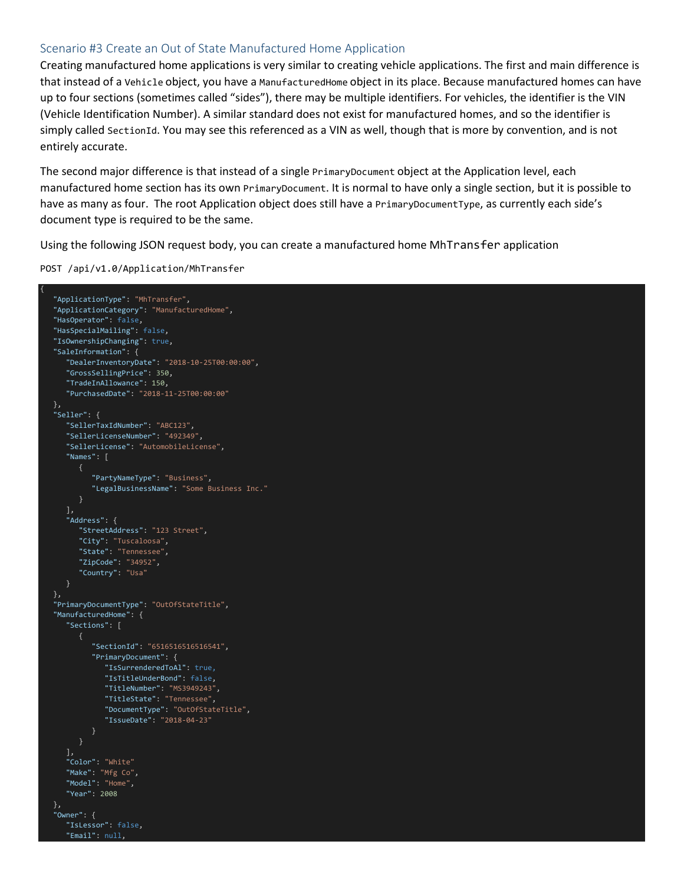### Scenario #3 Create an Out of State Manufactured Home Application

Creating manufactured home applications is very similar to creating vehicle applications. The first and main difference is that instead of a Vehicle object, you have a ManufacturedHome object in its place. Because manufactured homes can have up to four sections (sometimes called "sides"), there may be multiple identifiers. For vehicles, the identifier is the VIN (Vehicle Identification Number). A similar standard does not exist for manufactured homes, and so the identifier is simply called SectionId. You may see this referenced as a VIN as well, though that is more by convention, and is not entirely accurate.

The second major difference is that instead of a single PrimaryDocument object at the Application level, each manufactured home section has its own PrimaryDocument. It is normal to have only a single section, but it is possible to have as many as four. The root Application object does still have a PrimaryDocumentType, as currently each side's document type is required to be the same.

Using the following JSON request body, you can create a manufactured home MhTransfer application

POST /api/v1.0/Application/MhTransfer

```
{
    "ApplicationType": "MhTransfer",
   "ApplicationCategory": "ManufacturedHome",
   "HasOperator": false,
   "HasSpecialMailing": false,
    "IsOwnershipChanging": true,
    "SaleInformation": {
      "DealerInventoryDate": "2018-10-25T00:00:00",
      "GrossSellingPrice": 350,
       "TradeInAllowance": 150,
       "PurchasedDate": "2018-11-25T00:00:00"
   },
   "Seller": {
      "SellerTaxIdNumber": "ABC123",
       "SellerLicenseNumber": "492349",
       "SellerLicense": "AutomobileLicense",
      "Names": [
             "PartyNameType": "Business",
             "LegalBusinessName": "Some Business Inc."
       ],
       "Address": {
         "StreetAddress": "123 Street",
         "City": "Tuscaloosa",
         "State": "Tennessee",
         "ZipCode": "34952",
         "Country": "Usa"
   },
   "PrimaryDocumentType": "OutOfStateTitle",
   "ManufacturedHome": {
       "Sections": [
             "SectionId": "6516516516516541",
             "PrimaryDocument": {
                "IsSurrenderedToAl": true,
                "IsTitleUnderBond": false,
                "TitleNumber": "MS3949243",
               "TitleState": "Tennessee",
               "DocumentType": "OutOfStateTitle",
                "IssueDate": "2018-04-23"
       ],
       "Color": "White"
      "Make": "Mfg Co",
       "Model": "Home",
       "Year": 2008
 },
    "Owner": {
       "IsLessor": false,
       "Email": null,
```